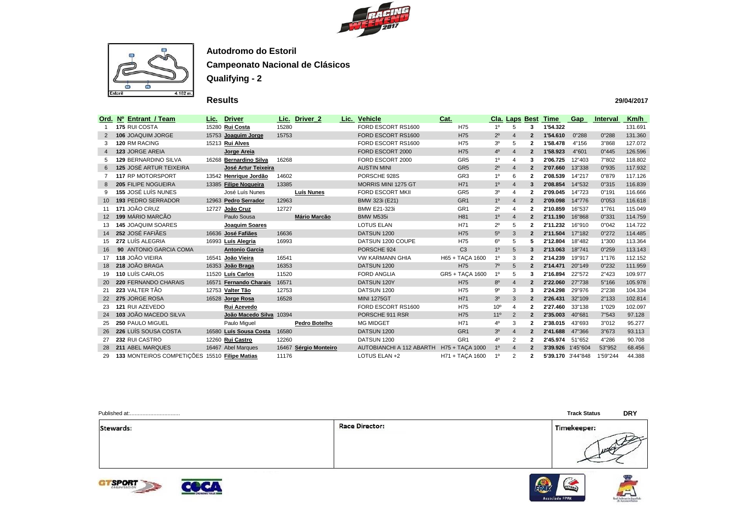



## **Results**

| Ord.           | Nº Entrant / Team                             | Lic.  | <b>Driver</b>           | Lic.  | Driver_2              | Lic. Vehicle             | Cat.            |                 |                | <b>Cla. Laps Best</b> | Time              | Gap      | <b>Interval</b> | Km/h    |
|----------------|-----------------------------------------------|-------|-------------------------|-------|-----------------------|--------------------------|-----------------|-----------------|----------------|-----------------------|-------------------|----------|-----------------|---------|
|                | 175 RUI COSTA                                 |       | 15280 Rui Costa         | 15280 |                       | FORD ESCORT RS1600       | H75             | $1^{\circ}$     | 5              | 3                     | 1'54.322          |          |                 | 131.691 |
| 2              | 106 JOAQUIM JORGE                             |       | 15753 Joaquim Jorge     | 15753 |                       | FORD ESCORT RS1600       | H75             | $2^{\circ}$     | $\overline{4}$ | $\mathbf{2}$          | 1'54.610          | 0"288    | 0"288           | 131.360 |
| 3              | 120 RM RACING                                 |       | 15213 Rui Alves         |       |                       | FORD ESCORT RS1600       | H75             | 3 <sup>0</sup>  | 5              | $\mathbf 2$           | 1'58.478          | 4"156    | 3"868           | 127.072 |
| $\overline{4}$ | 123 JORGE AREIA                               |       | Jorge Areia             |       |                       | FORD ESCORT 2000         | H75             | 4 <sup>0</sup>  | $\overline{4}$ | $\overline{2}$        | 1'58.923          | 4"601    | 0"445           | 126.596 |
| 5              | <b>129 BERNARDINO SILVA</b>                   | 16268 | <b>Bernardino Silva</b> | 16268 |                       | FORD ESCORT 2000         | GR <sub>5</sub> | 1 <sup>0</sup>  |                | 3                     | 2'06.725          | 12"403   | 7"802           | 118.802 |
| 6              | <b>125 JOSÉ ARTUR TEIXEIRA</b>                |       | José Artur Teixeira     |       |                       | <b>AUSTIN MINI</b>       | GR <sub>5</sub> | $2^{\circ}$     | $\overline{4}$ | $\overline{2}$        | 2'07.660          | 13"338   | 0"935           | 117.932 |
|                | 117 RP MOTORSPORT                             |       | 13542 Henrique Jordão   | 14602 |                       | PORSCHE 928S             | GR <sub>3</sub> | 1 <sup>0</sup>  | 6              | $\mathbf{2}$          | 2'08.539          | 14"217   | 0"879           | 117.126 |
| 8              | 205 FILIPE NOGUEIRA                           |       | 13385 Filipe Nogueira   | 13385 |                       | MORRIS MINI 1275 GT      | H71             | 1 <sup>0</sup>  | $\overline{4}$ | 3                     | 2'08.854          | 14"532   | 0"315           | 116.839 |
| 9              | 155 JOSÉ LUÍS NUNES                           |       | José Luís Nunes         |       | Luís Nunes            | <b>FORD ESCORT MKII</b>  | GR <sub>5</sub> | 3 <sup>o</sup>  | 4              | $\mathbf 2$           | 2'09.045          | 14"723   | 0"191           | 116.666 |
|                | <b>193 PEDRO SERRADOR</b>                     |       | 12963 Pedro Serrador    | 12963 |                       | BMW 323i (E21)           | GR <sub>1</sub> | 1 <sup>0</sup>  | $\overline{4}$ | $\mathbf{2}$          | 2'09.098          | 14"776   | 0"053           | 116.618 |
| 11             | 171 JOÃO CRUZ                                 | 12727 | João Cruz               | 12727 |                       | <b>BMW E21-323i</b>      | GR <sub>1</sub> | $2^{\circ}$     |                | $\mathbf{2}$          | 2'10.859          | 16"537   | 1"761           | 115.049 |
|                | 199 MÁRIO MARCÃO                              |       | Paulo Sousa             |       | <b>Mário Marcão</b>   | BMW M535i                | H81             | 1 <sup>0</sup>  | $\overline{4}$ | $\overline{2}$        | 2'11.190          | 16"868   | 0"331           | 114.759 |
| 13             | <b>145 JOAQUIM SOARES</b>                     |       | Joaquim Soares          |       |                       | <b>LOTUS ELAN</b>        | H71             | $2^{\circ}$     | 5              | $\mathbf{2}$          | 2'11.232          | 16"910   | 0"042           | 114.722 |
|                | 252 JOSÉ FAFIÃES                              |       | 16636 José Fafiães      | 16636 |                       | DATSUN 1200              | H75             | $5^{\rm o}$     | 3              | $\overline{2}$        | 2'11.504          | 17"182   | 0"272           | 114.485 |
| 15             | 272 LUÍS ALEGRIA                              |       | 16993 Luís Alegria      | 16993 |                       | DATSUN 1200 COUPE        | H75             | $6^{\circ}$     | 5              | 5.                    | 2'12.804          | 18"482   | 1"300           | 113.364 |
|                | 90 ANTONIO GARCIA COMA                        |       | <b>Antonio Garcia</b>   |       |                       | PORSCHE 924              | C <sub>3</sub>  | 1 <sup>0</sup>  | $\sqrt{5}$     | 3                     | 2'13.063          | 18"741   | 0"259           | 113.143 |
| 17             | 118 JOÃO VIEIRA                               |       | 16541 João Vieira       | 16541 |                       | <b>VW KARMANN GHIA</b>   | H65 + TAÇA 1600 | $1^{\circ}$     | 3              | $\mathbf{2}$          | 2'14.239          | 19"917   | 1"176           | 112.152 |
|                | 218 JOÃO BRAGA                                |       | 16353 João Braga        | 16353 |                       | DATSUN 1200              | H75             | $7^\circ$       | 5              | $\overline{2}$        | 2'14.471          | 20"149   | 0"232           | 111.959 |
| 19             | 110 LUÍS CARLOS                               |       | 11520 Luís Carlos       | 11520 |                       | <b>FORD ANGLIA</b>       | GR5 + TAÇA 1600 | 1 <sup>o</sup>  | 5              | 3                     | 2'16.894          | 22"572   | 2"423           | 109.977 |
|                | <b>220 FERNANDO CHARAIS</b>                   | 16571 | <b>Fernando Charais</b> | 16571 |                       | DATSUN 120Y              | H75             | $8^{\circ}$     |                | $\overline{2}$        | 2'22.060          | 27"738   | 5"166           | 105.978 |
| 21             | 223 VALTER TÃO                                |       | 12753 Valter Tão        | 12753 |                       | DATSUN 1200              | H75             | $9^{\rm o}$     | 3              | 3                     | 2'24.298          | 29"976   | 2"238           | 104.334 |
|                | 275 JORGE ROSA                                |       | 16528 Jorge Rosa        | 16528 |                       | <b>MINI 1275GT</b>       | H71             | $3o$            | 3              | $\overline{2}$        | 2'26.431          | 32"109   | 2"133           | 102.814 |
| 23.            | 121 RUI AZEVEDO                               |       | Rui Azevedo             |       |                       | FORD ESCORT RS1600       | H75             | 10 <sup>o</sup> | 4              | $\mathbf{2}$          | 2'27.460          | 33"138   | 1"029           | 102.097 |
|                | <b>103 JOÃO MACEDO SILVA</b>                  |       | João Macedo Silva       | 10394 |                       | PORSCHE 911 RSR          | H75             | 11 <sup>o</sup> | 2              | $\mathbf{2}$          | 2'35.003          | 40"681   | 7"543           | 97.128  |
| 25             | 250 PAULO MIGUEL                              |       | Paulo Miguel            |       | Pedro Botelho         | <b>MG MIDGET</b>         | H71             | 40              | 3              | $\mathbf{2}$          | 2'38.015          | 43"693   | 3"012           | 95.277  |
|                | 226 LUÍS SOUSA COSTA                          |       | 16580 Luís Sousa Costa  | 16580 |                       | DATSUN 1200              | GR <sub>1</sub> | 3 <sup>o</sup>  | $\overline{4}$ | $\mathbf{2}$          | 2'41.688          | 47"366   | 3"673           | 93.113  |
| 27             | 232 RUI CASTRO                                |       | 12260 Rui Castro        | 12260 |                       | DATSUN 1200              | GR <sub>1</sub> | 40              | $\overline{2}$ | $\mathbf{2}$          | 2'45.974          | 51"652   | 4"286           | 90.708  |
| 28             | 211 ABEL MARQUES                              |       | 16467 Abel Marques      |       | 16467 Sérgio Monteiro | AUTOBIANCHI A 112 ABARTH | H75 + TACA 1000 | 1 <sup>0</sup>  | $\overline{4}$ | $\overline{2}$        | 3'39.926          | 1'45"604 | 53"952          | 68.456  |
| 29             | 133 MONTEIROS COMPETIÇÕES 15510 Filipe Matias |       |                         | 11176 |                       | LOTUS ELAN +2            | H71 + TACA 1600 | 1 <sup>0</sup>  | $\overline{2}$ | $\mathbf{2}$          | 5'39.170 3'44"848 |          | 1'59"244        | 44.388  |

| Stewards: |
|-----------|
|-----------|





**Race Director:** 

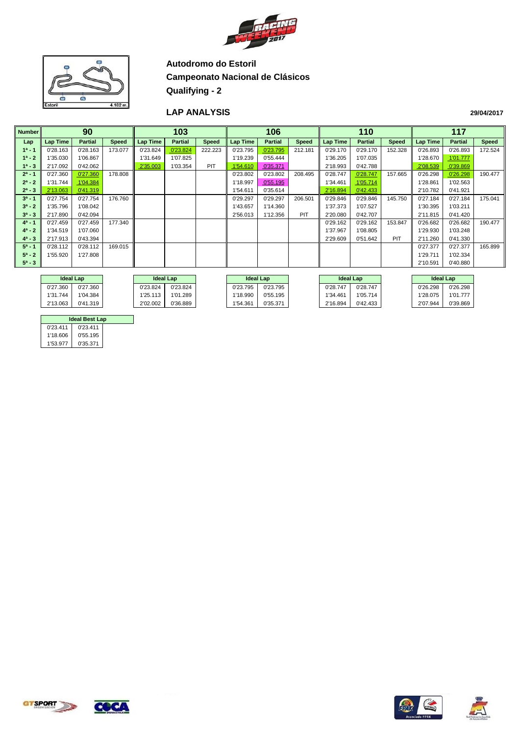



#### **LAP ANALYSIS**

| <b>Number</b> |          | 90             |              |                 | 103            |              |                 | 106            |              |                 | 110            |              |          | 117            |              |
|---------------|----------|----------------|--------------|-----------------|----------------|--------------|-----------------|----------------|--------------|-----------------|----------------|--------------|----------|----------------|--------------|
| Lap           | Lap Time | <b>Partial</b> | <b>Speed</b> | <b>Lap Time</b> | <b>Partial</b> | <b>Speed</b> | <b>Lap Time</b> | <b>Partial</b> | <b>Speed</b> | <b>Lap Time</b> | <b>Partial</b> | <b>Speed</b> | Lap Time | <b>Partial</b> | <b>Speed</b> |
| $1^a - 1$     | 0'28.163 | 0'28.163       | 173.077      | 0'23.824        | 0'23.824       | 222.223      | 0'23.795        | 0'23.795       | 212.181      | 0'29.170        | 0'29.170       | 152.328      | 0'26.893 | 0'26.893       | 172.524      |
| $1^a - 2$     | 1'35.030 | 1'06.867       |              | 1'31.649        | 1'07.825       |              | 1'19.239        | 0'55.444       |              | 1'36.205        | 1'07.035       |              | 1'28.670 | 1'01.777       |              |
| $1^a - 3$     | 2'17.092 | 0'42.062       |              | 2'35.003        | 1'03.354       | PIT          | 1'54.610        | 0'35.371       |              | 2'18.993        | 0'42.788       |              | 2'08.539 | 0'39.869       |              |
| $2^a - 1$     | 0'27.360 | 0'27.360       | 178.808      |                 |                |              | 0'23.802        | 0'23.802       | 208.495      | 0'28.747        | 0'28.747       | 157.665      | 0'26.298 | 0'26.298       | 190.477      |
| $2^a - 2$     | 1'31.744 | 1'04.384       |              |                 |                |              | 1'18.997        | 0'55.195       |              | 1'34.461        | 1'05.714       |              | 1'28.861 | 1'02.563       |              |
| $2^a - 3$     | 2'13.063 | 0'41.319       |              |                 |                |              | 1'54.611        | 0'35.614       |              | 2'16.894        | 0'42.433       |              | 2'10.782 | 0'41.921       |              |
| $3^a - 1$     | 0'27.754 | 0'27.754       | 176.760      |                 |                |              | 0'29.297        | 0'29.297       | 206.501      | 0'29.846        | 0'29.846       | 145.750      | 0'27.184 | 0'27.184       | 175.041      |
| $3^a - 2$     | 1'35.796 | 1'08.042       |              |                 |                |              | 1'43.657        | 1'14.360       |              | 1'37.373        | 1'07.527       |              | 1'30.395 | 1'03.211       |              |
| $3^a - 3$     | 2'17.890 | 0'42.094       |              |                 |                |              | 2'56.013        | 1'12.356       | PIT          | 2'20.080        | 0'42.707       |              | 2'11.815 | 0'41.420       |              |
| $4^a - 1$     | 0'27.459 | 0'27.459       | 177.340      |                 |                |              |                 |                |              | 0'29.162        | 0'29.162       | 153.847      | 0'26.682 | 0'26.682       | 190.477      |
| $4^a - 2$     | 1'34.519 | 1'07.060       |              |                 |                |              |                 |                |              | 1'37.967        | 1'08.805       |              | 1'29.930 | 1'03.248       |              |
| $4^a - 3$     | 2'17.913 | 0'43.394       |              |                 |                |              |                 |                |              | 2'29.609        | 0'51.642       | PIT          | 2'11.260 | 0'41.330       |              |
| $5^a - 1$     | 0'28.112 | 0'28.112       | 169.015      |                 |                |              |                 |                |              |                 |                |              | 0'27.377 | 0'27.377       | 165.899      |
| $5^a - 2$     | 1'55.920 | 1'27.808       |              |                 |                |              |                 |                |              |                 |                |              | 1'29.711 | 1'02.334       |              |
| $5^a - 3$     |          |                |              |                 |                |              |                 |                |              |                 |                |              | 2'10.591 | 0'40.880       |              |
|               |          |                |              |                 |                |              |                 |                |              |                 |                |              |          |                |              |

| <b>Ideal Lap</b> |          | <b>Ideal Lap</b> |          | <b>Ideal Lap</b> |          | <b>Ideal Lap</b> |          | <b>Ideal Lap</b> |          |
|------------------|----------|------------------|----------|------------------|----------|------------------|----------|------------------|----------|
| 0'27.360         | 0'27.360 | 0'23.824         | 0'23.824 | 0'23.795         | 0'23.795 | 0'28.747         | 0'28.747 | 0'26.298         | 0'26.298 |
| 1'31.744         | 1'04.384 | 1'25.113         | 1'01.289 | 1'18.990         | 0'55.195 | 1'34.461         | 1'05.714 | 1'28.075         | 1'01.777 |
| 2'13.063         | 0'41.319 | 2'02.002         | 0'36.889 | 1'54.361         | 0'35.371 | 2'16.894         | 0'42.433 | 2'07.944         | 0'39.869 |

| <b>Ideal Best Lap</b> |          |  |  |  |  |  |  |  |
|-----------------------|----------|--|--|--|--|--|--|--|
| 0'23.411              | 0'23.411 |  |  |  |  |  |  |  |
| 1'18.606              | 0'55.195 |  |  |  |  |  |  |  |
| 1'53 977              | 0'35.371 |  |  |  |  |  |  |  |









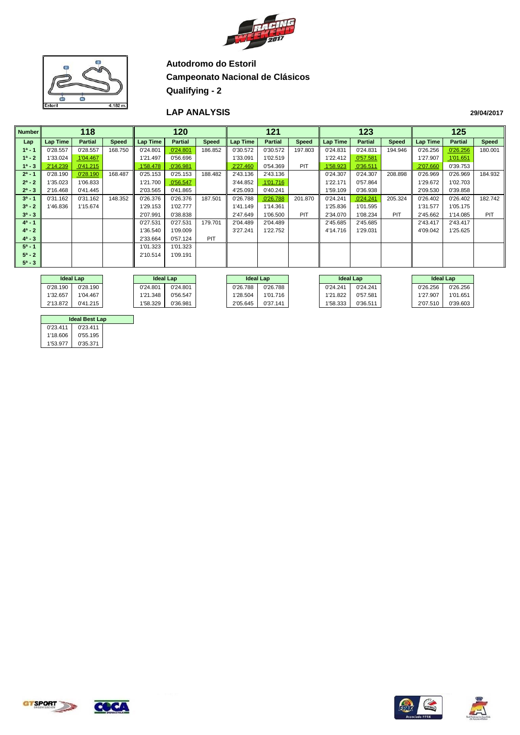



#### **LAP ANALYSIS**

| <b>Number</b> |          | 118            |              |                 | 120            |              |          | 121            |              |                 | 123            |         |          | 125            |              |
|---------------|----------|----------------|--------------|-----------------|----------------|--------------|----------|----------------|--------------|-----------------|----------------|---------|----------|----------------|--------------|
| Lap           | Lap Time | <b>Partial</b> | <b>Speed</b> | <b>Lap Time</b> | <b>Partial</b> | <b>Speed</b> | Lap Time | <b>Partial</b> | <b>Speed</b> | <b>Lap Time</b> | <b>Partial</b> | Speed   | Lap Time | <b>Partial</b> | <b>Speed</b> |
| $1^a - 1$     | 0'28.557 | 0'28.557       | 168.750      | 0'24.801        | 0'24.801       | 186.852      | 0'30.572 | 0'30.572       | 197.803      | 0'24.831        | 0'24.831       | 194.946 | 0'26.256 | 0'26.256       | 180.001      |
| $1^a - 2$     | 1'33.024 | 1'04.467       |              | 1'21.497        | 0'56.696       |              | 1'33.091 | 1'02.519       |              | 1'22.412        | 0'57.581       |         | 1'27.907 | 1'01.651       |              |
| $1^a - 3$     | 2'14.239 | 0'41.215       |              | 1'58.478        | 0'36.981       |              | 2'27.460 | 0'54.369       | PIT          | 1'58.923        | 0'36.511       |         | 2'07.660 | 0'39.753       |              |
| $2^a - 1$     | 0'28.190 | 0'28.190       | 168.487      | 0'25.153        | 0'25.153       | 188.482      | 2'43.136 | 2'43.136       |              | 0'24.307        | 0'24.307       | 208.898 | 0'26.969 | 0'26.969       | 184.932      |
| $2^a - 2$     | 1'35.023 | 1'06.833       |              | 1'21.700        | 0'56.547       |              | 3'44.852 | 1'01.716       |              | 1'22.171        | 0'57.864       |         | 1'29.672 | 1'02.703       |              |
| $2^a - 3$     | 2'16.468 | 0'41.445       |              | 2'03.565        | 0'41.865       |              | 4'25.093 | 0'40.241       |              | 1'59.109        | 0'36.938       |         | 2'09.530 | 0'39.858       |              |
| $3a - 1$      | 0'31.162 | 0'31.162       | 148.352      | 0'26.376        | 0'26.376       | 187.501      | 0'26.788 | 0'26.788       | 201.870      | 0'24.241        | 0'24.241       | 205.324 | 0'26.402 | 0'26.402       | 182.742      |
| $3^a - 2$     | 1'46.836 | 1'15.674       |              | 1'29.153        | 1'02.777       |              | 1'41.149 | 1'14.361       |              | 1'25.836        | 1'01.595       |         | 1'31.577 | 1'05.175       |              |
| $3^a - 3$     |          |                |              | 2'07.991        | 0'38.838       |              | 2'47.649 | 1'06.500       | PIT          | 2'34.070        | 1'08.234       | PIT     | 2'45.662 | 1'14.085       | PIT          |
| $4^a - 1$     |          |                |              | 0'27.531        | 0'27.531       | 179.701      | 2'04.489 | 2'04.489       |              | 2'45.685        | 2'45.685       |         | 2'43.417 | 2'43.417       |              |
| $4^a - 2$     |          |                |              | 1'36.540        | 1'09.009       |              | 3'27.241 | 1'22.752       |              | 4'14.716        | 1'29.031       |         | 4'09.042 | 1'25.625       |              |
| $4^a - 3$     |          |                |              | 2'33.664        | 0'57.124       | PIT          |          |                |              |                 |                |         |          |                |              |
| $5^a - 1$     |          |                |              | 1'01.323        | 1'01.323       |              |          |                |              |                 |                |         |          |                |              |
| $5^a - 2$     |          |                |              | 2'10.514        | 1'09.191       |              |          |                |              |                 |                |         |          |                |              |
| $5^a - 3$     |          |                |              |                 |                |              |          |                |              |                 |                |         |          |                |              |
|               |          |                |              |                 |                |              |          |                |              |                 |                |         |          |                |              |

|          | <b>Ideal Lap</b> | <b>Ideal Lap</b> |          |          | <b>Ideal Lap</b> |          |  | <b>Ideal Lap</b> |          | <b>Ideal Lap</b> |          |          |
|----------|------------------|------------------|----------|----------|------------------|----------|--|------------------|----------|------------------|----------|----------|
| 0'28.190 | 0'28.190         |                  | 0'24.801 | 0'24.801 | 0'26.788         | 0'26.788 |  | 0'24.241         | 0'24.241 |                  | 0'26.256 | 0'26.256 |
| 1'32.657 | 1'04.467         |                  | 1'21.348 | 0'56.547 | 1'28.504         | 1'01.716 |  | 1'21.822         | 0'57.581 |                  | 1'27.907 | 1'01.651 |
| 2'13.872 | 0'41.215         |                  | 1'58.329 | 0'36.981 | 2'05.645         | 0'37.141 |  | 1'58.333         | 0'36.511 |                  | 2'07.510 | 0'39.603 |

| <b>Ideal Best Lap</b> |          |  |  |  |  |  |  |  |
|-----------------------|----------|--|--|--|--|--|--|--|
| 0'23.411              | 0'23.411 |  |  |  |  |  |  |  |
| 1'18.606              | 0'55.195 |  |  |  |  |  |  |  |
| 1'53 977              | 0'35.371 |  |  |  |  |  |  |  |









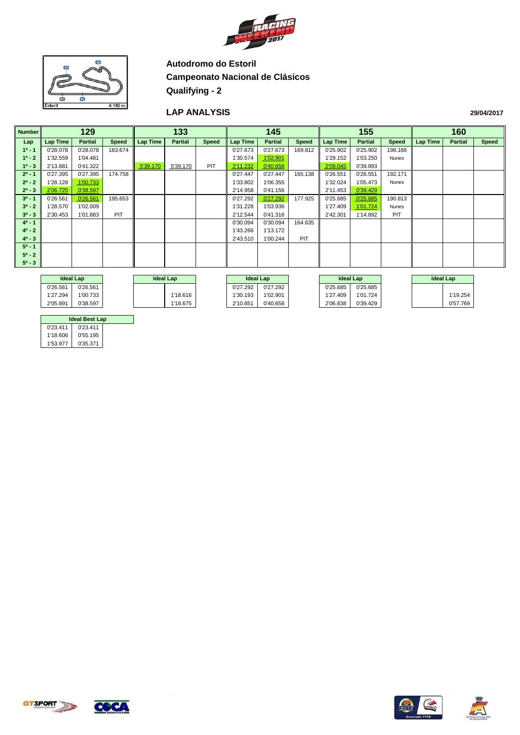



#### **LAP ANALYSIS**

| <b>Number</b> |            | 129            |              |          | 133            |              |                  | 145            |              |                  | 155            |              |          | 160              |       |
|---------------|------------|----------------|--------------|----------|----------------|--------------|------------------|----------------|--------------|------------------|----------------|--------------|----------|------------------|-------|
| Lap           | Lap Time   | <b>Partial</b> | <b>Speed</b> | Lap Time | <b>Partial</b> | <b>Speed</b> | Lap Time         | <b>Partial</b> | <b>Speed</b> | <b>Lap Time</b>  | <b>Partial</b> | Speed        | Lap Time | <b>Partial</b>   | Speed |
| $1^a - 1$     | 0'28.078   | 0'28.078       | 183.674      |          |                |              | 0'27.673         | 0'27.673       | 169.812      | 0'25.902         | 0'25.902       | 198.166      |          |                  |       |
| $1^a - 2$     | 1'32.559   | 1'04.481       |              |          |                |              | 1'30.574         | 1'02.901       |              | 1'29.152         | 1'03.250       | Nunes        |          |                  |       |
| $1^a - 3$     | 2'13.881   | 0'41.322       |              | 5'39.170 | 5'39.170       | PIT          | 2'11.232         | 0'40.658       |              | 2'09.045         | 0'39.893       |              |          |                  |       |
| $2^a - 1$     | 0'27.395   | 0'27.395       | 174.758      |          |                |              | 0'27.447         | 0'27.447       | 165.138      | 0'26.551         | 0'26.551       | 192.171      |          |                  |       |
| $2^a - 2$     | 1'28.128   | 1'00.733       |              |          |                |              | 1'33.802         | 1'06.355       |              | 1'32.024         | 1'05.473       | Nunes        |          |                  |       |
| $2^a - 3$     | 2'06.725   | 0'38.597       |              |          |                |              | 2'14.958         | 0'41.156       |              | 2'11.453         | 0'39.429       |              |          |                  |       |
| $3^a - 1$     | 0'26.561   | 0'26.561       | 195.653      |          |                |              | 0'27.292         | 0'27.292       | 177.925      | 0'25.685         | 0'25.685       | 190.813      |          |                  |       |
| $3^a - 2$     | 1'28.570   | 1'02.009       |              |          |                |              | 1'31.228         | 1'03.936       |              | 1'27.409         | 1'01.724       | <b>Nunes</b> |          |                  |       |
| $3^a - 3$     | 2'30.453   | 1'01.883       | PIT          |          |                |              | 2'12.544         | 0'41.316       |              | 2'42.301         | 1'14.892       | PIT          |          |                  |       |
| $4^a - 1$     |            |                |              |          |                |              | 0'30.094         | 0'30.094       | 164.635      |                  |                |              |          |                  |       |
| $4^a - 2$     |            |                |              |          |                |              | 1'43.266         | 1'13.172       |              |                  |                |              |          |                  |       |
| $4^a - 3$     |            |                |              |          |                |              | 2'43.510         | 1'00.244       | PIT          |                  |                |              |          |                  |       |
| $5^a - 1$     |            |                |              |          |                |              |                  |                |              |                  |                |              |          |                  |       |
| $5^a - 2$     |            |                |              |          |                |              |                  |                |              |                  |                |              |          |                  |       |
| $5^a - 3$     |            |                |              |          |                |              |                  |                |              |                  |                |              |          |                  |       |
|               |            |                |              |          |                |              |                  |                |              |                  |                |              |          |                  |       |
|               | Island Low |                |              |          | Island Low     |              | <b>Ideal Les</b> |                |              | <b>Ideal Law</b> |                |              |          | <b>Ideal Law</b> |       |

| <b>Ideal Lap</b> |          | <b>Ideal Lap</b> |          | <b>Ideal Lap</b> |          |          | <b>Ideal Lap</b> |  | <b>Ideal Lap</b> |
|------------------|----------|------------------|----------|------------------|----------|----------|------------------|--|------------------|
| 0'26.561         | 0'26.561 |                  |          | 0'27.292         | 0'27.292 | 0'25.685 | 0'25.685         |  |                  |
| 1'27.294         | 1'00.733 |                  | 1'18.616 | 1'30.193         | 1'02.901 | 1'27.409 | 1'01.724         |  | 1'19.254         |
| 2'05.891         | 0'38.597 |                  | 1'18.675 | 2'10.851         | 0'40.658 | 2'06.838 | 0'39.429         |  | 0'57.769         |
|                  |          |                  |          |                  |          |          |                  |  |                  |

|          | <b>Ideal Best Lap</b> |  |
|----------|-----------------------|--|
| 0'23.411 | 0'23.411              |  |
| 1'18.606 | 0'55.195              |  |
| 1'53.977 | 0'35.371              |  |







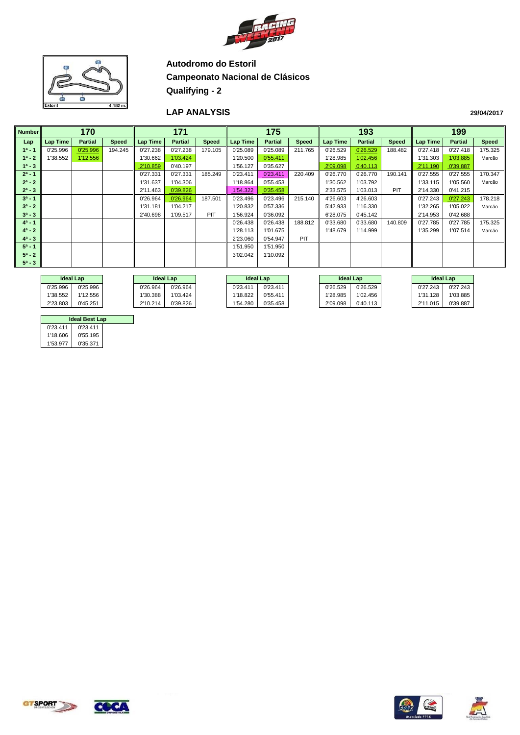



#### **LAP ANALYSIS**

| <b>Number</b> | 170      |                |              |                 | 171            |              |          | 175            |              |          | 193            |         |          | 199            |              |
|---------------|----------|----------------|--------------|-----------------|----------------|--------------|----------|----------------|--------------|----------|----------------|---------|----------|----------------|--------------|
| Lap           | Lap Time | <b>Partial</b> | <b>Speed</b> | <b>Lap Time</b> | <b>Partial</b> | <b>Speed</b> | Lap Time | <b>Partial</b> | <b>Speed</b> | Lap Time | <b>Partial</b> | Speed   | Lap Time | <b>Partial</b> | <b>Speed</b> |
| $1^a - 1$     | 0'25.996 | 0'25.996       | 194.245      | 0'27.238        | 0'27.238       | 179.105      | 0'25.089 | 0'25.089       | 211.765      | 0'26.529 | 0'26.529       | 188.482 | 0'27.418 | 0'27.418       | 175.325      |
| $1^a - 2$     | 1'38.552 | 1'12.556       |              | 1'30.662        | 1'03.424       |              | 1'20.500 | 0'55.411       |              | 1'28.985 | 1'02.456       |         | 1'31.303 | 1'03.885       | Marcão       |
| $1^a - 3$     |          |                |              | 2'10.859        | 0'40.197       |              | 1'56.127 | 0'35.627       |              | 2'09.098 | 0'40.113       |         | 2'11.190 | 0'39.887       |              |
| $2^a - 1$     |          |                |              | 0'27.331        | 0'27.331       | 185.249      | 0'23.411 | 0'23.411       | 220.409      | 0'26.770 | 0'26.770       | 190.141 | 0'27.555 | 0'27.555       | 170.347      |
| $2^a - 2$     |          |                |              | 1'31.637        | 1'04.306       |              | 1'18.864 | 0'55.453       |              | 1'30.562 | 1'03.792       |         | 1'33.115 | 1'05.560       | Marcão       |
| $2^a - 3$     |          |                |              | 2'11.463        | 0'39.826       |              | 1'54.322 | 0'35.458       |              | 2'33.575 | 1'03.013       | PIT     | 2'14.330 | 0'41.215       |              |
| $3^a - 1$     |          |                |              | 0'26.964        | 0'26.964       | 187.501      | 0'23.496 | 0'23.496       | 215.140      | 4'26.603 | 4'26.603       |         | 0'27.243 | 0'27.243       | 178.218      |
| $3^a - 2$     |          |                |              | 1'31.181        | 1'04.217       |              | 1'20.832 | 0'57.336       |              | 5'42.933 | 1'16.330       |         | 1'32.265 | 1'05.022       | Marcão       |
| $3^a - 3$     |          |                |              | 2'40.698        | 1'09.517       | <b>PIT</b>   | 1'56.924 | 0'36.092       |              | 6'28.075 | 0'45.142       |         | 2'14.953 | 0'42.688       |              |
| $4^a - 1$     |          |                |              |                 |                |              | 0'26.438 | 0'26.438       | 188.812      | 0'33.680 | 0'33.680       | 140.809 | 0'27.785 | 0'27.785       | 175.325      |
| $4^a - 2$     |          |                |              |                 |                |              | 1'28.113 | 1'01.675       |              | 1'48.679 | 1'14.999       |         | 1'35.299 | 1'07.514       | Marcão       |
| $4^a - 3$     |          |                |              |                 |                |              | 2'23.060 | 0'54.947       | PIT          |          |                |         |          |                |              |
| $5^a - 1$     |          |                |              |                 |                |              | 1'51.950 | 1'51.950       |              |          |                |         |          |                |              |
| $5^a - 2$     |          |                |              |                 |                |              | 3'02.042 | 1'10.092       |              |          |                |         |          |                |              |
| $5^a - 3$     |          |                |              |                 |                |              |          |                |              |          |                |         |          |                |              |
|               |          |                |              |                 |                |              |          |                |              |          |                |         |          |                |              |

|          | <b>Ideal Lap</b><br><b>Ideal Lap</b> |  | <b>Ideal Lap</b> |          | <b>Ideal Lap</b> |          | <b>Ideal Lap</b> |          |          |          |          |
|----------|--------------------------------------|--|------------------|----------|------------------|----------|------------------|----------|----------|----------|----------|
| 0'25.996 | 0'25.996                             |  | 0'26.964         | 0'26.964 |                  | 0'23.411 | 0'23.411         | 0'26.529 | 0'26.529 | 0'27.243 | 0'27.243 |
| 1'38.552 | 1'12.556                             |  | 1'30.388         | 1'03.424 |                  | 1'18.822 | 0'55.411         | 1'28.985 | 1'02.456 | 1'31.128 | 1'03.885 |
| 2'23.803 | 0'45.251                             |  | 2'10.214         | 0'39.826 |                  | 1'54.280 | 0'35.458         | 2'09.098 | 0'40.113 | 2'11.015 | 0'39.887 |

| <b>Ideal Best Lap</b> |          |  |  |  |  |  |  |  |  |
|-----------------------|----------|--|--|--|--|--|--|--|--|
| 0'23.411              | 0'23.411 |  |  |  |  |  |  |  |  |
| 1'18.606              | 0'55.195 |  |  |  |  |  |  |  |  |
| 1'53 977              | 0'35.371 |  |  |  |  |  |  |  |  |

**GTSPORT** 



**COCA** 



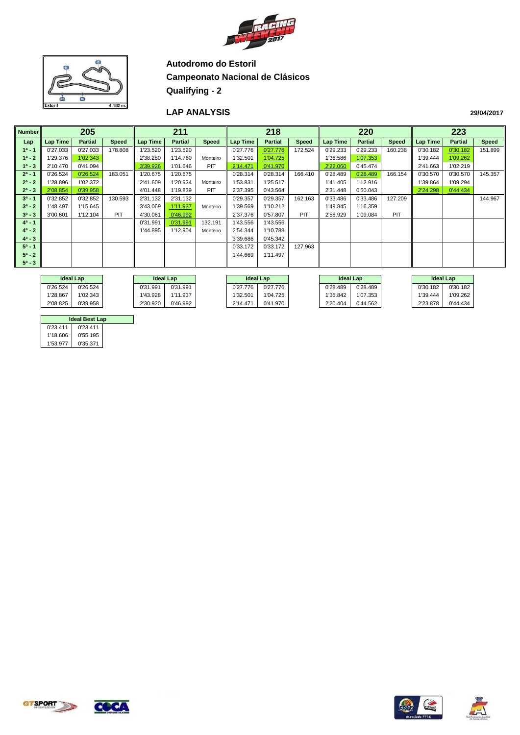



#### **LAP ANALYSIS**

| <b>Number</b> |          | 205            |              |          | 211            | 218          |                 |                |              |          | 220            |              |          | 223            |              |
|---------------|----------|----------------|--------------|----------|----------------|--------------|-----------------|----------------|--------------|----------|----------------|--------------|----------|----------------|--------------|
| Lap           | Lap Time | <b>Partial</b> | <b>Speed</b> | Lap Time | <b>Partial</b> | <b>Speed</b> | <b>Lap Time</b> | <b>Partial</b> | <b>Speed</b> | Lap Time | <b>Partial</b> | <b>Speed</b> | Lap Time | <b>Partial</b> | <b>Speed</b> |
| $1^a - 1$     | 0'27.033 | 0'27.033       | 178.808      | 1'23.520 | 1'23.520       |              | 0'27.776        | 0'27.776       | 172.524      | 0'29.233 | 0'29.233       | 160.238      | 0'30.182 | 0'30.182       | 151.899      |
| $1^a - 2$     | 1'29.376 | 1'02.343       |              | 2'38.280 | 1'14.760       | Monteiro     | 1'32.501        | 1'04.725       |              | 1'36.586 | 1'07.353       |              | 1'39.444 | 1'09.262       |              |
| $1^a - 3$     | 2'10.470 | 0'41.094       |              | 3'39.926 | 1'01.646       | PIT          | 2'14.471        | 0'41.970       |              | 2'22.060 | 0'45.474       |              | 2'41.663 | 1'02.219       |              |
| $2^a - 1$     | 0'26.524 | 0'26.524       | 183.051      | 1'20.675 | 1'20.675       |              | 0'28.314        | 0'28.314       | 166.410      | 0'28.489 | 0'28.489       | 166.154      | 0'30.570 | 0'30.570       | 145.357      |
| $2^a - 2$     | 1'28.896 | 1'02.372       |              | 2'41.609 | 1'20.934       | Monteiro     | 1'53.831        | 1'25.517       |              | 1'41.405 | 1'12.916       |              | 1'39.864 | 1'09.294       |              |
| $2^a - 3$     | 2'08.854 | 0'39.958       |              | 4'01.448 | 1'19.839       | PIT          | 2'37.395        | 0'43.564       |              | 2'31.448 | 0'50.043       |              | 2'24.298 | 0'44.434       |              |
| $3a - 1$      | 0'32.852 | 0'32.852       | 130.593      | 2'31.132 | 2'31.132       |              | 0'29.357        | 0'29.357       | 162.163      | 0'33.486 | 0'33.486       | 127.209      |          |                | 144.967      |
| $3^a - 2$     | 1'48.497 | 1'15.645       |              | 3'43.069 | 1'11.937       | Monteiro     | 1'39.569        | 1'10.212       |              | 1'49.845 | 1'16.359       |              |          |                |              |
| $3^a - 3$     | 3'00.601 | 1'12.104       | PIT          | 4'30.061 | 0'46.992       |              | 2'37.376        | 0'57.807       | PIT          | 2'58.929 | 1'09.084       | PIT          |          |                |              |
| $4^a - 1$     |          |                |              | 0'31.991 | 0'31.991       | 132.191      | 1'43.556        | 1'43.556       |              |          |                |              |          |                |              |
| $4^a - 2$     |          |                |              | 1'44.895 | 1'12.904       | Monteiro     | 2'54.344        | 1'10.788       |              |          |                |              |          |                |              |
| $4^a - 3$     |          |                |              |          |                |              | 3'39.686        | 0'45.342       |              |          |                |              |          |                |              |
| $5^a - 1$     |          |                |              |          |                |              | 0'33.172        | 0'33.172       | 127.963      |          |                |              |          |                |              |
| $5^a - 2$     |          |                |              |          |                |              | 1'44.669        | 1'11.497       |              |          |                |              |          |                |              |
| $5^a - 3$     |          |                |              |          |                |              |                 |                |              |          |                |              |          |                |              |
|               |          |                |              |          |                |              |                 |                |              |          |                |              |          |                |              |

|          | <b>Ideal Lap</b><br><b>Ideal Lap</b> |  |          | <b>Ideal Lap</b> |  |          |          | <b>Ideal Lap</b> |          | <b>Ideal Lap</b> |          |          |
|----------|--------------------------------------|--|----------|------------------|--|----------|----------|------------------|----------|------------------|----------|----------|
| 0'26.524 | 0'26.524                             |  | 0'31.991 | 0'31.991         |  | 0'27.776 | 0'27.776 |                  | 0'28.489 | 0'28.489         | 0'30.182 | 0'30.182 |
| 1'28.867 | 1'02.343                             |  | 1'43.928 | 1'11.937         |  | 1'32.501 | 1'04.725 |                  | 1'35.842 | 1'07.353         | 1'39.444 | 1'09.262 |
| 2'08.825 | 0'39.958                             |  | 2'30.920 | 0'46.992         |  | 2'14.471 | 0'41.970 |                  | 2'20.404 | 0'44.562         | 2'23.878 | 0'44.434 |

| <b>Ideal Best Lap</b> |          |  |  |  |  |  |  |  |  |
|-----------------------|----------|--|--|--|--|--|--|--|--|
| 0'23.411              | 0'23.411 |  |  |  |  |  |  |  |  |
| 1'18.606              | 0'55.195 |  |  |  |  |  |  |  |  |
| 1'53 977              | 0'35.371 |  |  |  |  |  |  |  |  |







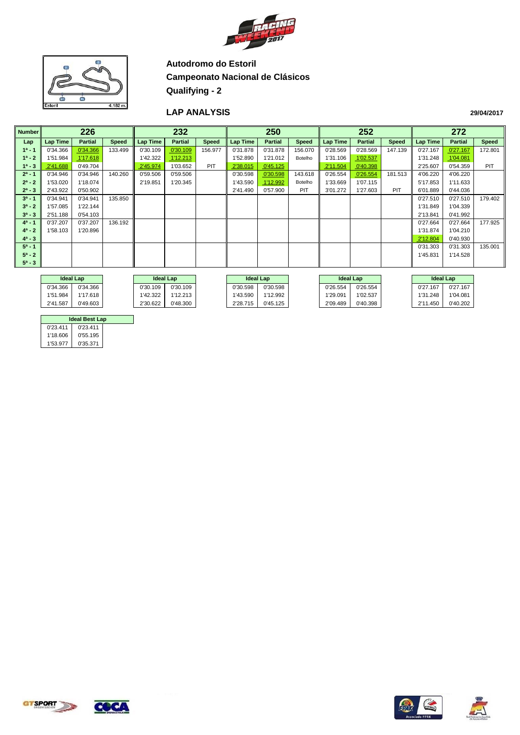



#### **LAP ANALYSIS**

| <b>Number</b> |          | 226            |              |          | 232            |              |                 | 250            |              |          | 252            |              |          | 272            |              |
|---------------|----------|----------------|--------------|----------|----------------|--------------|-----------------|----------------|--------------|----------|----------------|--------------|----------|----------------|--------------|
| Lap           | Lap Time | <b>Partial</b> | <b>Speed</b> | Lap Time | <b>Partial</b> | <b>Speed</b> | <b>Lap Time</b> | <b>Partial</b> | <b>Speed</b> | Lap Time | <b>Partial</b> | <b>Speed</b> | Lap Time | <b>Partial</b> | <b>Speed</b> |
| $1^a - 1$     | 0'34.366 | 0'34.366       | 133.499      | 0'30.109 | 0'30.109       | 156.977      | 0'31.878        | 0'31.878       | 156.070      | 0'28.569 | 0'28.569       | 147.139      | 0'27.167 | 0'27.167       | 172.801      |
| $1^a - 2$     | 1'51.984 | 1'17.618       |              | 1'42.322 | 1'12.213       |              | 1'52.890        | 1'21.012       | Botelho      | 1'31.106 | 1'02.537       |              | 1'31.248 | 1'04.081       |              |
| $1^a - 3$     | 2'41.688 | 0'49.704       |              | 2'45.974 | 1'03.652       | <b>PIT</b>   | 2'38.015        | 0'45.125       |              | 2'11.504 | 0'40.398       |              | 2'25.607 | 0'54.359       | <b>PIT</b>   |
| $2^a - 1$     | 0'34.946 | 0'34.946       | 140.260      | 0'59.506 | 0'59.506       |              | 0'30.598        | 0'30.598       | 143.618      | 0'26.554 | 0'26.554       | 181.513      | 4'06.220 | 4'06.220       |              |
| $2^a - 2$     | 1'53.020 | 1'18.074       |              | 2'19.851 | 1'20.345       |              | 1'43.590        | 1'12.992       | Botelho      | 1'33.669 | 1'07.115       |              | 5'17.853 | 1'11.633       |              |
| $2^a - 3$     | 2'43.922 | 0'50.902       |              |          |                |              | 2'41.490        | 0'57.900       | PIT          | 3'01.272 | 1'27.603       | <b>PIT</b>   | 6'01.889 | 0'44.036       |              |
| $3^a - 1$     | 0'34.941 | 0'34.941       | 135.850      |          |                |              |                 |                |              |          |                |              | 0'27.510 | 0'27.510       | 179.402      |
| $3^a - 2$     | 1'57.085 | 1'22.144       |              |          |                |              |                 |                |              |          |                |              | 1'31.849 | 1'04.339       |              |
| $3^a - 3$     | 2'51.188 | 0'54.103       |              |          |                |              |                 |                |              |          |                |              | 2'13.841 | 0'41.992       |              |
| $4^a - 1$     | 0'37.207 | 0'37.207       | 136.192      |          |                |              |                 |                |              |          |                |              | 0'27.664 | 0'27.664       | 177.925      |
| $4^a - 2$     | 1'58.103 | 1'20.896       |              |          |                |              |                 |                |              |          |                |              | 1'31.874 | 1'04.210       |              |
| $4^a - 3$     |          |                |              |          |                |              |                 |                |              |          |                |              | 2'12.804 | 0'40.930       |              |
| $5^a - 1$     |          |                |              |          |                |              |                 |                |              |          |                |              | 0'31.303 | 0'31.303       | 135.001      |
| $5^a - 2$     |          |                |              |          |                |              |                 |                |              |          |                |              | 1'45.831 | 1'14.528       |              |
| $5^a - 3$     |          |                |              |          |                |              |                 |                |              |          |                |              |          |                |              |
|               |          |                |              |          |                |              |                 |                |              |          |                |              |          |                |              |

|          | <b>Ideal Lap</b> | <b>Ideal Lap</b> |          | <b>Ideal Lap</b> |          | <b>Ideal Lap</b> |          |          | <b>Ideal Lap</b> |
|----------|------------------|------------------|----------|------------------|----------|------------------|----------|----------|------------------|
| 0'34.366 | 0'34.366         | 0'30.109         | 0'30.109 | 0'30.598         | 0'30.598 | 0'26.554         | 0'26.554 | 0'27.167 | 0'27.167         |
| 1'51.984 | 1'17.618         | 1'42.322         | 1'12.213 | 1'43.590         | 1'12.992 | 1'29.091         | 1'02.537 | 1'31.248 | 1'04.081         |
| 2'41.587 | 0'49.603         | 2'30.622         | 0'48.300 | 2'28.715         | 0'45.125 | 2'09.489         | 0'40.398 | 2'11.450 | 0'40.202         |

| <b>Ideal Best Lap</b> |          |  |  |  |  |  |  |  |  |
|-----------------------|----------|--|--|--|--|--|--|--|--|
| 0'23.411              | 0'23.411 |  |  |  |  |  |  |  |  |
| 1'18.606              | 0'55.195 |  |  |  |  |  |  |  |  |
| 1'53.977              | 0'35.371 |  |  |  |  |  |  |  |  |







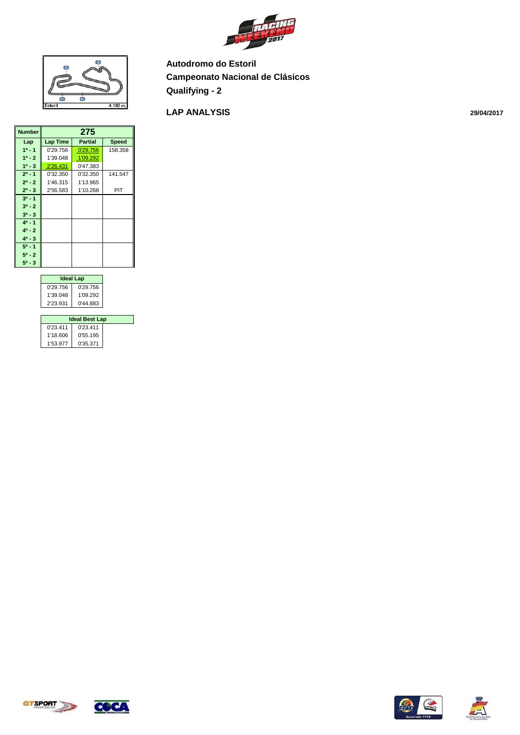



#### **LAP ANALYSIS**

| <b>Number</b> |          | 275      |              |
|---------------|----------|----------|--------------|
|               |          |          |              |
| Lap           | Lap Time | Partial  | <b>Speed</b> |
| $1a - 1$      | 0'29.756 | 0'29.756 | 158.358      |
| $1^a - 2$     | 1'39.048 | 1'09.292 |              |
| $1^a - 3$     | 2'26.431 | 0'47.383 |              |
| $2^a - 1$     | 0'32.350 | 0'32.350 | 141.547      |
| $2^a - 2$     | 1'46.315 | 1'13.965 |              |
| $2^a - 3$     | 2'56.583 | 1'10.268 | PIT          |
| $3^a - 1$     |          |          |              |
| $3^a - 2$     |          |          |              |
| $3^a - 3$     |          |          |              |
| $4^a - 1$     |          |          |              |
| $4^a - 2$     |          |          |              |
| $4^a - 3$     |          |          |              |
| $5^a - 1$     |          |          |              |
| $5^a - 2$     |          |          |              |
| $5^a - 3$     |          |          |              |

| <b>Ideal Lap</b> |          |  |  |  |  |  |  |  |
|------------------|----------|--|--|--|--|--|--|--|
| 0'29.756         | 0'29.756 |  |  |  |  |  |  |  |
| 1'39.048         | 1'09.292 |  |  |  |  |  |  |  |
| 2'23.931         | 0'44.883 |  |  |  |  |  |  |  |

| <b>Ideal Best Lap</b> |          |  |  |  |  |  |  |  |
|-----------------------|----------|--|--|--|--|--|--|--|
| 0'23.411              | 0'23.411 |  |  |  |  |  |  |  |
| 1'18.606              | 0'55.195 |  |  |  |  |  |  |  |
| 1'53 977              | 0'35.371 |  |  |  |  |  |  |  |







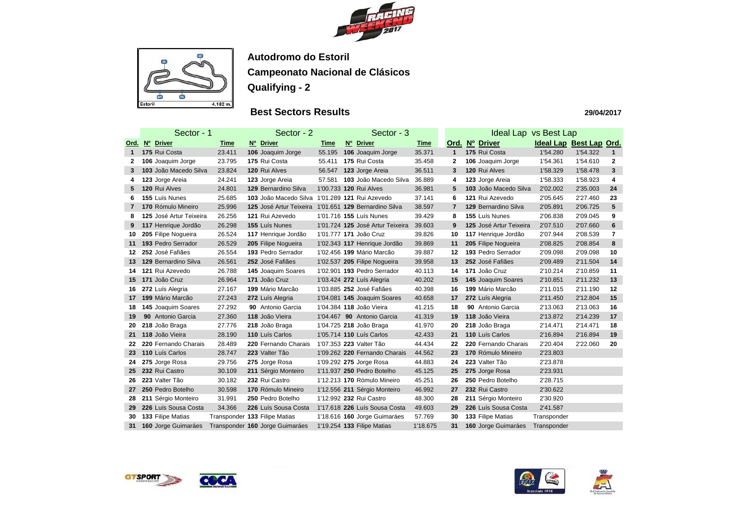



## **Best Sectors Results**

|              | Sector - 1 |                         |             | Sector - 2                                            | Sector - 3  | <b>Ideal Lap vs Best Lap</b>     |             |                |  |                         |                         |          |                |
|--------------|------------|-------------------------|-------------|-------------------------------------------------------|-------------|----------------------------------|-------------|----------------|--|-------------------------|-------------------------|----------|----------------|
| Ord.         |            | Nº Driver               | <u>Time</u> | Nº Driver                                             | <u>Time</u> | Nº Driver                        | <u>Time</u> | Ord.           |  | Nº Driver               | Ideal Lap Best Lap Ord. |          |                |
| $\mathbf 1$  |            | 175 Rui Costa           | 23.411      | 106 Joaquim Jorge                                     | 55.195      | 106 Joaquim Jorge                | 35.371      | $\mathbf{1}$   |  | 175 Rui Costa           | 1'54.280                | 1'54.322 | $\mathbf{1}$   |
| $\mathbf{2}$ |            | 106 Joaquim Jorge       | 23.795      | 175 Rui Costa                                         | 55.411      | 175 Rui Costa                    | 35.458      | $\mathbf{2}$   |  | 106 Joaquim Jorge       | 1'54.361                | 1'54.610 | $\mathbf{2}$   |
| 3            |            | 103 João Macedo Silva   | 23.824      | 120 Rui Alves                                         | 56.547      | 123 Jorge Areia                  | 36.511      | 3              |  | 120 Rui Alves           | 1'58.329                | 1'58.478 | 3              |
| 4            |            | 123 Jorge Areia         | 24.241      | 123 Jorge Areia                                       | 57.581      | 103 João Macedo Silva            | 36.889      | 4              |  | 123 Jorge Areia         | 1'58.333                | 1'58.923 | 4              |
| 5.           |            | 120 Rui Alves           | 24.801      | 129 Bernardino Silva                                  |             | 1'00.733 120 Rui Alves           | 36.981      | 5              |  | 103 João Macedo Silva   | 2'02.002                | 2'35.003 | 24             |
| 6            |            | 155 Luís Nunes          | 25.685      | 103 João Macedo Silva 1'01.289 121 Rui Azevedo        |             |                                  | 37.141      | 6              |  | 121 Rui Azevedo         | 2'05.645                | 2'27.460 | 23             |
| $\mathbf{7}$ |            | 170 Rómulo Mineiro      | 25.996      | 125 José Artur Teixeira 1'01.651 129 Bernardino Silva |             |                                  | 38.597      | $\overline{7}$ |  | 129 Bernardino Silva    | 2'05.891                | 2'06.725 | $5\phantom{1}$ |
| 8            |            | 125 José Artur Teixeira | 26.256      | 121 Rui Azevedo                                       |             | 1'01.716 155 Luís Nunes          | 39.429      | 8              |  | 155 Luís Nunes          | 2'06.838                | 2'09.045 | 9              |
| 9            |            | 117 Henrique Jordão     | 26.298      | 155 Luís Nunes                                        |             | 1'01.724 125 José Artur Teixeira | 39.603      | 9              |  | 125 José Artur Teixeira | 2'07.510                | 2'07.660 | $6\phantom{1}$ |
| 10           |            | 205 Filipe Nogueira     | 26.524      | 117 Henrique Jordão                                   |             | 1'01.777 171 João Cruz           | 39.826      | 10             |  | 117 Henrique Jordão     | 2'07.944                | 2'08.539 | $\overline{7}$ |
| 11           |            | 193 Pedro Serrador      | 26.529      | 205 Filipe Nogueira                                   |             | 1'02.343 117 Henrique Jordão     | 39.869      | 11             |  | 205 Filipe Nogueira     | 2'08.825                | 2'08.854 | 8              |
| 12           |            | 252 José Fafiães        | 26.554      | 193 Pedro Serrador                                    |             | 1'02.456 199 Mário Marcão        | 39.887      | 12             |  | 193 Pedro Serrador      | 2'09.098                | 2'09.098 | 10             |
| 13           |            | 129 Bernardino Silva    | 26.561      | 252 José Fafiães                                      |             | 1'02.537 205 Filipe Nogueira     | 39.958      | 13             |  | 252 José Fafiães        | 2'09.489                | 2'11.504 | 14             |
| 14           |            | 121 Rui Azevedo         | 26.788      | 145 Joaquim Soares                                    |             | 1'02.901 193 Pedro Serrador      | 40.113      | 14             |  | 171 João Cruz           | 2'10.214                | 2'10.859 | 11             |
| 15           |            | 171 João Cruz           | 26.964      | 171 João Cruz                                         |             | 1'03.424 272 Luís Alegria        | 40.202      | 15             |  | 145 Joaquim Soares      | 2'10.851                | 2'11.232 | 13             |
| 16           |            | 272 Luís Alegria        | 27.167      | 199 Mário Marcão                                      |             | 1'03.885 252 José Fafiães        | 40.398      | 16             |  | 199 Mário Marcão        | 2'11.015                | 2'11.190 | 12             |
| 17           |            | 199 Mário Marcão        | 27.243      | 272 Luís Alegria                                      |             | 1'04.081 145 Joaquim Soares      | 40.658      | 17             |  | 272 Luís Alegria        | 2'11.450                | 2'12.804 | 15             |
| 18           |            | 145 Joaquim Soares      | 27.292      | 90 Antonio Garcia                                     |             | 1'04.384 118 João Vieira         | 41.215      | 18             |  | 90 Antonio Garcia       | 2'13.063                | 2'13.063 | 16             |
| 19           |            | 90 Antonio Garcia       | 27.360      | 118 João Vieira                                       |             | 1'04.467 90 Antonio Garcia       | 41.319      | 19             |  | 118 João Vieira         | 2'13.872                | 2'14.239 | 17             |
| 20           |            | 218 João Braga          | 27.776      | 218 João Braga                                        |             | 1'04.725 218 João Braga          | 41.970      | 20             |  | 218 João Braga          | 2'14.471                | 2'14.471 | 18             |
| 21           |            | 118 João Vieira         | 28.190      | 110 Luís Carlos                                       |             | 1'05.714 110 Luís Carlos         | 42.433      | 21             |  | 110 Luís Carlos         | 2'16.894                | 2'16.894 | 19             |
| 22.          |            | 220 Fernando Charais    | 28.489      | 220 Fernando Charais                                  |             | 1'07.353 223 Valter Tão          | 44.434      | 22             |  | 220 Fernando Charais    | 2'20.404                | 2'22.060 | 20             |
| 23           |            | 110 Luís Carlos         | 28.747      | 223 Valter Tão                                        |             | 1'09.262 220 Fernando Charais    | 44.562      | 23             |  | 170 Rómulo Mineiro      | 2'23.803                |          |                |
| 24           |            | 275 Jorge Rosa          | 29.756      | 275 Jorge Rosa                                        |             | 1'09.292 275 Jorge Rosa          | 44.883      | 24             |  | 223 Valter Tão          | 2'23.878                |          |                |
| 25           |            | 232 Rui Castro          | 30.109      | 211 Sérgio Monteiro                                   |             | 1'11.937 250 Pedro Botelho       | 45.125      | 25             |  | 275 Jorge Rosa          | 2'23.931                |          |                |
| 26.          |            | 223 Valter Tão          | 30.182      | 232 Rui Castro                                        |             | 1'12.213 170 Rómulo Mineiro      | 45.251      | 26             |  | 250 Pedro Botelho       | 2'28.715                |          |                |
| 27           |            | 250 Pedro Botelho       | 30.598      | 170 Rómulo Mineiro                                    |             | 1'12.556 211 Sérgio Monteiro     | 46.992      | 27             |  | 232 Rui Castro          | 2'30.622                |          |                |
| 28           |            | 211 Sérgio Monteiro     | 31.991      | 250 Pedro Botelho                                     |             | 1'12.992 232 Rui Castro          | 48.300      | 28             |  | 211 Sérgio Monteiro     | 2'30.920                |          |                |
| 29           |            | 226 Luís Sousa Costa    | 34.366      | 226 Luís Sousa Costa                                  |             | 1'17.618 226 Luís Sousa Costa    | 49.603      | 29             |  | 226 Luís Sousa Costa    | 2'41.587                |          |                |
| 30           |            | 133 Filipe Matias       |             | Transponder 133 Filipe Matias                         |             | 1'18.616 160 Jorge Guimaráes     | 57.769      | 30             |  | 133 Filipe Matias       | Transponder             |          |                |
| 31           |            | 160 Jorge Guimaráes     |             | Transponder 160 Jorge Guimaráes                       |             | 1'19.254 133 Filipe Matias       | 1'18.675    | 31             |  | 160 Jorge Guimaráes     | Transponder             |          |                |







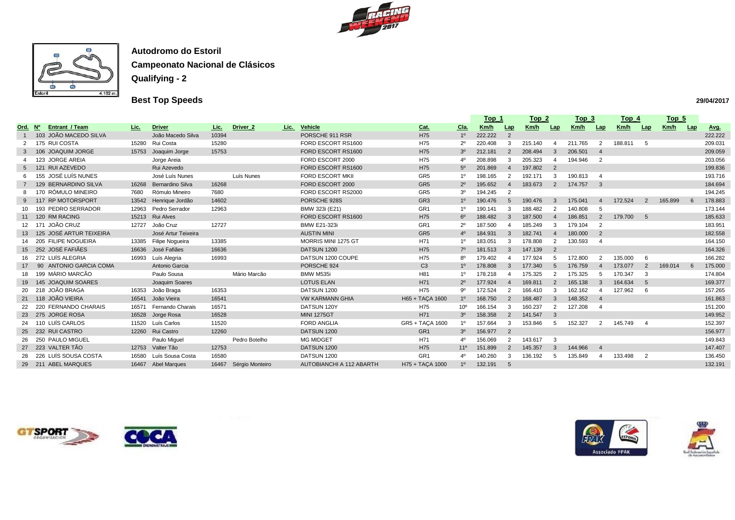



# **Best Top Speeds**

|      |                |                            |       |                         |             |                             |                          |                 |                 | $Top_1$ |                          | $Top_2$ |                            |         | $Top_3$        |             | $Top_4$                    |         | <u>Top_5</u> |             |
|------|----------------|----------------------------|-------|-------------------------|-------------|-----------------------------|--------------------------|-----------------|-----------------|---------|--------------------------|---------|----------------------------|---------|----------------|-------------|----------------------------|---------|--------------|-------------|
| Ord. | N <sup>o</sup> | <b>Entrant / Team</b>      | Lic.  | <b>Driver</b>           | <u>Lic.</u> | Driver <sub>2</sub><br>Lic. | Vehicle                  | <u>Cat.</u>     | $C1a$ .         | Km/h    | <u>Lap</u>               | Km/h    | <b>Lap</b>                 | Km/h    | Lap            | <u>Km/h</u> | Lap                        | Km/h    | Lap          | <u>Avg.</u> |
|      |                | 103 JOÃO MACEDO SILVA      |       | João Macedo Silva       | 10394       |                             | PORSCHE 911 RSR          | H75             | 1 <sup>0</sup>  | 222.222 | $\overline{2}$           |         |                            |         |                |             |                            |         |              | 222.222     |
|      |                | 175 RUI COSTA              | 15280 | Rui Costa               | 15280       |                             | FORD ESCORT RS1600       | H75             | $2^{\circ}$     | 220.408 | $\mathcal{R}$            | 215.140 | $\boldsymbol{\mathcal{A}}$ | 211.765 | $\overline{2}$ | 188.811     | $-5$                       |         |              | 209.031     |
|      |                | 106 JOAQUIM JORGE          | 15753 | Joaquim Jorge           | 15753       |                             | FORD ESCORT RS1600       | H75             | 3 <sup>o</sup>  | 212.181 | $\overline{2}$           | 208.494 | -3                         | 206.501 | $\overline{4}$ |             |                            |         |              | 209.059     |
|      |                | 123 JORGE AREIA            |       | Jorge Areia             |             |                             | FORD ESCORT 2000         | H75             | 40              | 208.898 | $\mathcal{B}$            | 205.323 | -4                         | 194.946 | $\overline{2}$ |             |                            |         |              | 203.056     |
|      |                | 121 RUI AZEVEDO            |       | Rui Azevedo             |             |                             | FORD ESCORT RS1600       | H75             | $5^{\circ}$     | 201.869 |                          | 197.802 | $\overline{2}$             |         |                |             |                            |         |              | 199.836     |
|      |                | 155 JOSÉ LUÍS NUNES        |       | José Luís Nunes         |             | Luís Nunes                  | FORD ESCORT MKII         | GR <sub>5</sub> | 1 <sup>0</sup>  | 198.165 | -2                       | 192.171 | 3                          | 190.813 |                |             |                            |         |              | 193.716     |
|      |                | 129 BERNARDINO SILVA       | 16268 | <b>Bernardino Silva</b> | 16268       |                             | FORD ESCORT 2000         | GR <sub>5</sub> | $2^{\circ}$     | 195.652 | $\overline{A}$           | 183.673 | 2                          | 174.757 | $\mathbf{3}$   |             |                            |         |              | 184.694     |
|      |                | 170 RÓMULO MINEIRO         | 7680  | Rómulo Mineiro          | 7680        |                             | FORD ESCORT RS2000       | GR <sub>5</sub> | 3 <sup>o</sup>  | 194.245 | $\overline{2}$           |         |                            |         |                |             |                            |         |              | 194.245     |
|      |                | 117 RP MOTORSPORT          | 13542 | Henrique Jordão         | 14602       |                             | PORSCHE 928S             | GR <sub>3</sub> | 1 <sup>0</sup>  | 190.476 | -5                       | 190.476 | -3                         | 175.041 | $\overline{4}$ | 172.524     | 2                          | 165.899 | - 6          | 178.883     |
|      |                | 10 193 PEDRO SERRADOR      | 12963 | Pedro Serrador          | 12963       |                             | BMW 323i (E21)           | GR <sub>1</sub> | $1^{\circ}$     | 190.141 | $\mathcal{R}$            | 188.482 | 2                          | 140.808 | .5             |             |                            |         |              | 173.144     |
|      |                | 11 120 RM RACING           | 15213 | <b>Rui Alves</b>        |             |                             | FORD ESCORT RS1600       | H75             | $6^{\circ}$     | 188.482 | $\mathcal{B}$            | 187.500 | $\overline{4}$             | 186.851 | $\overline{2}$ | 179.700     | $5^{\circ}$                |         |              | 185.633     |
|      |                | 12 171 JOÃO CRUZ           | 12727 | João Cruz               | 12727       |                             | <b>BMW E21-323i</b>      | GR <sub>1</sub> | $2^{\circ}$     | 187.500 |                          | 185.249 | -3                         | 179.104 | $\overline{2}$ |             |                            |         |              | 183.951     |
|      |                | 13 125 JOSÉ ARTUR TEIXEIRA |       | José Artur Teixeira     |             |                             | <b>AUSTIN MINI</b>       | GR <sub>5</sub> | 4 <sup>0</sup>  | 184.931 | $\mathbf{3}$             | 182.741 |                            | 180.000 | $\overline{2}$ |             |                            |         |              | 182.558     |
|      |                | 14 205 FILIPE NOGUEIRA     |       | 13385 Filipe Nogueira   | 13385       |                             | MORRIS MINI 1275 GT      | H71             | $1^{\circ}$     | 183.051 | -3                       | 178.808 | $\overline{2}$             | 130.593 |                |             |                            |         |              | 164.150     |
|      |                | 15 252 JOSÉ FAFIÃES        | 16636 | José Fafiães            | 16636       |                             | DATSUN 1200              | H75             | $7^\circ$       | 181.513 | $\overline{3}$           | 147.139 | $\overline{2}$             |         |                |             |                            |         |              | 164.326     |
|      |                | 16 272 LUÍS ALEGRIA        | 16993 | Luís Alegria            | 16993       |                             | DATSUN 1200 COUPE        | H75             | $8^{\circ}$     | 179.402 |                          | 177.924 |                            | 172.800 | $\mathcal{P}$  | 135.000     | - 6                        |         |              | 166.282     |
|      |                | 90 ANTONIO GARCIA COMA     |       | Antonio Garcia          |             |                             | PORSCHE 924              | C <sub>3</sub>  | 1 <sup>0</sup>  | 178.808 | -3                       | 177.340 |                            | 176.759 |                | 173.077     | $\overline{2}$             | 169.014 | - 6          | 175.000     |
| 18   |                | 199 MÁRIO MARCÃO           |       | Paulo Sousa             |             | Mário Marcão                | BMW M535i                | H <sub>81</sub> | 1 <sup>0</sup>  | 178.218 |                          | 175.325 | $\overline{2}$             | 175.325 | -5             | 170.347     | $\mathbf{3}$               |         |              | 174.804     |
|      |                | 19 145 JOAQUIM SOARES      |       | Joaquim Soares          |             |                             | <b>LOTUS ELAN</b>        | H71             | $2^{\circ}$     | 177.924 | $\boldsymbol{\varDelta}$ | 169.811 | 2                          | 165.138 | $\mathbf{3}$   | 164.634     | 5                          |         |              | 169.377     |
|      |                | 20 218 JOÃO BRAGA          | 16353 | João Braga              | 16353       |                             | DATSUN 1200              | H75             | 9º              | 172.524 | $\mathcal{P}$            | 166.410 | 3                          | 162.162 |                | 127.962     | - 6                        |         |              | 157.265     |
|      |                | 21 118 JOÃO VIEIRA         | 16541 | João Vieira             | 16541       |                             | <b>VW KARMANN GHIA</b>   | H65 + TAÇA 1600 | 1 <sup>0</sup>  | 168.750 | -2                       | 168.487 | 3                          | 148.352 |                |             |                            |         |              | 161.863     |
|      |                | 220 FERNANDO CHARAIS       | 16571 | Fernando Charais        | 16571       |                             | DATSUN 120Y              | H75             | 10 <sup>o</sup> | 166.154 | $\mathcal{R}$            | 160.237 | $\overline{2}$             | 127.208 |                |             |                            |         |              | 151.200     |
|      |                | 23 275 JORGE ROSA          | 16528 | Jorge Rosa              | 16528       |                             | <b>MINI 1275GT</b>       | H71             | 3 <sup>o</sup>  | 158.358 | $\overline{2}$           | 141.547 | 3                          |         |                |             |                            |         |              | 149.952     |
|      |                | 24 110 LUÍS CARLOS         | 11520 | Luís Carlos             | 11520       |                             | <b>FORD ANGLIA</b>       | GR5 + TAÇA 1600 | $1^{\circ}$     | 157.664 | -3                       | 153.846 | .5                         | 152.327 | $\overline{2}$ | 145.749     | $\overline{4}$             |         |              | 152.397     |
|      |                | 25 232 RUI CASTRO          | 12260 | <b>Rui Castro</b>       | 12260       |                             | DATSUN 1200              | GR <sub>1</sub> | 3 <sup>o</sup>  | 156.977 | $\overline{2}$           |         |                            |         |                |             |                            |         |              | 156.977     |
| 26   |                | 250 PAULO MIGUEL           |       | Paulo Miguel            |             | Pedro Botelho               | <b>MG MIDGET</b>         | H71             | 40              | 156.069 | $\mathcal{P}$            | 143.617 | -3                         |         |                |             |                            |         |              | 149.843     |
|      |                | 27 223 VALTER TÃO          | 12753 | Valter Tão              | 12753       |                             | DATSUN 1200              | H75             | 11 <sup>°</sup> | 151.899 | $\overline{2}$           | 145.357 | $\mathbf{3}$               | 144.966 | -4             |             |                            |         |              | 147.407     |
| 28   |                | 226 LUÍS SOUSA COSTA       | 16580 | Luís Sousa Costa        | 16580       |                             | DATSUN 1200              | GR <sub>1</sub> | $4^{\circ}$     | 140.260 | -3                       | 136.192 | -5                         | 135.849 |                | 133.498     | $\overline{\phantom{0}}$ 2 |         |              | 136.450     |
|      |                | 29 211 ABEL MARQUES        | 16467 | <b>Abel Marques</b>     |             | 16467 Sérgio Monteiro       | AUTOBIANCHI A 112 ABARTH | H75 + TAÇA 1000 | 1 <sup>0</sup>  | 132.191 | -5                       |         |                            |         |                |             |                            |         |              | 132.191     |
|      |                |                            |       |                         |             |                             |                          |                 |                 |         |                          |         |                            |         |                |             |                            |         |              |             |







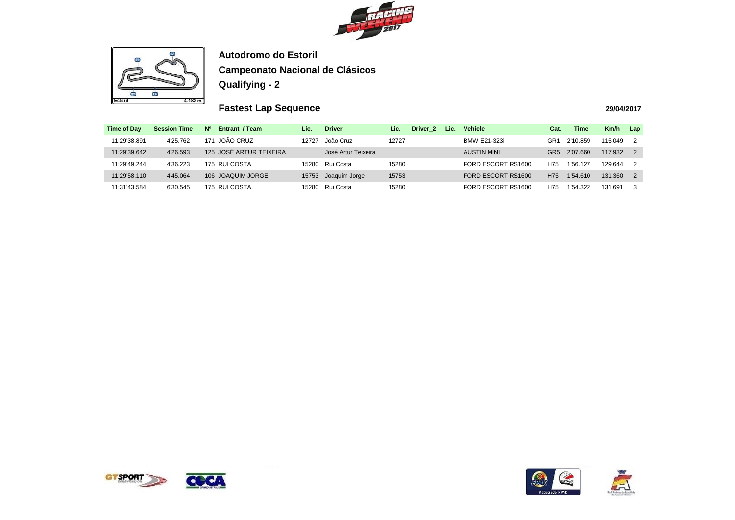



# **Fastest Lap Sequence**

| <b>Time of Day</b> | <b>Session Time</b> | <b>No</b><br><b>Entrant / Team</b> | <u>Lic.</u> | <b>Driver</b>       | Lic.  | Driver <sub>2</sub> | Lic. | <b>Vehicle</b>      | <u>Cat.</u>     | <b>Time</b> | Km/h    | Lap            |
|--------------------|---------------------|------------------------------------|-------------|---------------------|-------|---------------------|------|---------------------|-----------------|-------------|---------|----------------|
| 11:29'38.891       | 4'25.762            | JOÃO CRUZ<br>171                   | 12727       | João Cruz           | 12727 |                     |      | <b>BMW E21-323i</b> | GR1             | 2'10.859    | 115.049 | $\overline{2}$ |
| 11:29'39.642       | 4'26.593            | 125 JOSÉ ARTUR TEIXEIRA            |             | José Artur Teixeira |       |                     |      | <b>AUSTIN MINI</b>  | GR <sub>5</sub> | 2'07.660    | 117.932 | $\overline{2}$ |
| 11:29'49.244       | 4'36.223            | 175 RUI COSTA                      | 15280       | Rui Costa           | 15280 |                     |      | FORD ESCORT RS1600  | H75             | 1'56.127    | 129.644 | $\overline{2}$ |
| 11:29'58.110       | 4'45.064            | 106 JOAQUIM JORGE                  | 15753       | Joaquim Jorge       | 15753 |                     |      | FORD ESCORT RS1600  | H75             | 1'54.610    | 131.360 | 2              |
| 11:31'43.584       | 6'30.545            | 175 RUI COSTA                      | 15280       | Rui Costa           | 15280 |                     |      | FORD ESCORT RS1600  | H75             | 1'54.322    | 131.691 | 3              |





| Cat. | <b>Time</b> | Km/h    | Lap |
|------|-------------|---------|-----|
| GR1  | 2'10.859    | 115.049 | 2   |
| GR5  | 2'07.660    | 117.932 | 2   |
| H75  | 1'56.127    | 129.644 | 2   |
| H75  | 1'54.610    | 131.360 | 2   |
| H75  | 1'54.322    | 131.691 | з   |